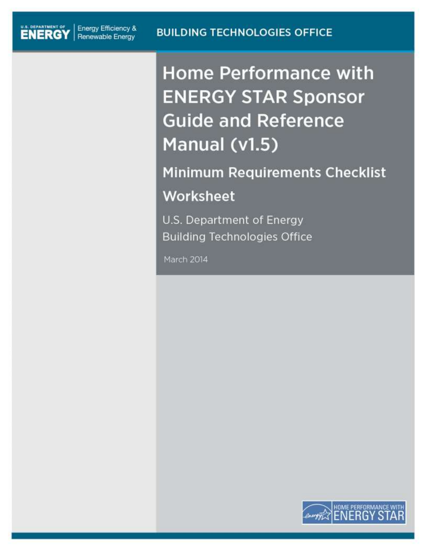**Home Performance with ENERGY STAR Sponsor Guide and Reference** Manual (v1.5)

**Minimum Requirements Checklist** Worksheet

U.S. Department of Energy **Building Technologies Office** 

March 2014

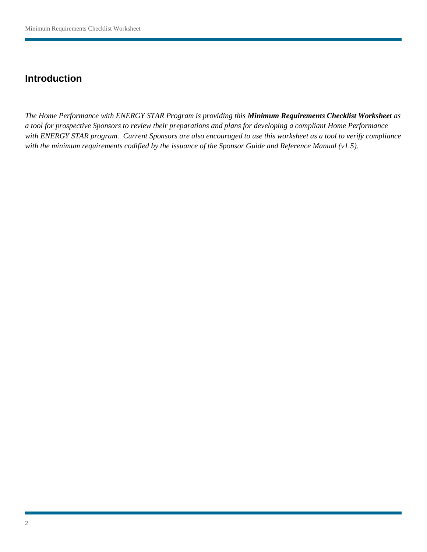## **Introduction**

*The Home Performance with ENERGY STAR Program is providing this Minimum Requirements Checklist Worksheet as a tool for prospective Sponsors to review their preparations and plans for developing a compliant Home Performance with ENERGY STAR program. Current Sponsors are also encouraged to use this worksheet as a tool to verify compliance with the minimum requirements codified by the issuance of the Sponsor Guide and Reference Manual (v1.5).*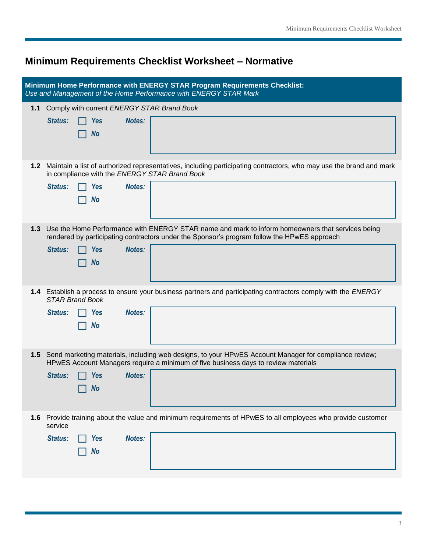## **Minimum Requirements Checklist Worksheet – Normative**

| Minimum Home Performance with ENERGY STAR Program Requirements Checklist:<br>Use and Management of the Home Performance with ENERGY STAR Mark |                                                                                                                                                                                                                                                        |  |
|-----------------------------------------------------------------------------------------------------------------------------------------------|--------------------------------------------------------------------------------------------------------------------------------------------------------------------------------------------------------------------------------------------------------|--|
| 1.1                                                                                                                                           | Comply with current ENERGY STAR Brand Book<br>Status:<br><b>Yes</b><br><b>Notes:</b><br><b>No</b>                                                                                                                                                      |  |
|                                                                                                                                               | 1.2 Maintain a list of authorized representatives, including participating contractors, who may use the brand and mark<br>in compliance with the ENERGY STAR Brand Book<br>Status:<br>Notes:<br><b>Yes</b><br><b>No</b>                                |  |
|                                                                                                                                               | 1.3 Use the Home Performance with ENERGY STAR name and mark to inform homeowners that services being<br>rendered by participating contractors under the Sponsor's program follow the HPwES approach<br>Notes:<br>Status:<br><b>Yes</b><br><b>No</b>    |  |
|                                                                                                                                               | 1.4 Establish a process to ensure your business partners and participating contractors comply with the ENERGY<br><b>STAR Brand Book</b><br><b>Notes:</b><br>Status:<br><b>Yes</b><br><b>No</b>                                                         |  |
|                                                                                                                                               | 1.5 Send marketing materials, including web designs, to your HPwES Account Manager for compliance review;<br>HPwES Account Managers require a minimum of five business days to review materials<br><b>Status:</b><br><b>Notes:</b><br><b>Yes</b><br>No |  |
|                                                                                                                                               | 1.6 Provide training about the value and minimum requirements of HPwES to all employees who provide customer<br>service<br><b>Notes:</b><br>Status:<br><b>Yes</b><br><b>No</b>                                                                         |  |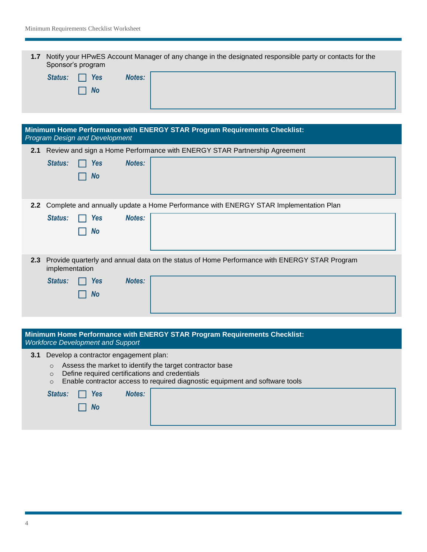|                                    | 1.7 Notify your HPwES Account Manager of any change in the designated responsible party or contacts for the<br>Sponsor's program |  |  |
|------------------------------------|----------------------------------------------------------------------------------------------------------------------------------|--|--|
| <b>Status:</b><br>Yes<br><b>No</b> | <b>Notes:</b>                                                                                                                    |  |  |

| Minimum Home Performance with ENERGY STAR Program Requirements Checklist:<br><b>Program Design and Development</b> |                                                                       |                                                                                              |
|--------------------------------------------------------------------------------------------------------------------|-----------------------------------------------------------------------|----------------------------------------------------------------------------------------------|
|                                                                                                                    |                                                                       | 2.1 Review and sign a Home Performance with ENERGY STAR Partnership Agreement                |
|                                                                                                                    | <b>Notes:</b><br><b>Yes</b><br>Status:<br><b>No</b>                   |                                                                                              |
| 2.2 <sub>2</sub>                                                                                                   | <b>Notes:</b><br><b>Yes</b><br>Status:<br><b>No</b>                   | Complete and annually update a Home Performance with ENERGY STAR Implementation Plan         |
| 2.3                                                                                                                | implementation<br><b>Notes:</b><br>Status:<br><b>Yes</b><br><b>No</b> | Provide quarterly and annual data on the status of Home Performance with ENERGY STAR Program |

| Minimum Home Performance with ENERGY STAR Program Requirements Checklist: |  |
|---------------------------------------------------------------------------|--|
| <b>Workforce Development and Support</b>                                  |  |

**3.1** Develop a contractor engagement plan:

- o Assess the market to identify the target contractor base
- o Define required certifications and credentials
- o Enable contractor access to required diagnostic equipment and software tools

| Status: $\Box$ Yes          | Notes: |  |
|-----------------------------|--------|--|
| $\overline{\phantom{a}}$ No |        |  |
|                             |        |  |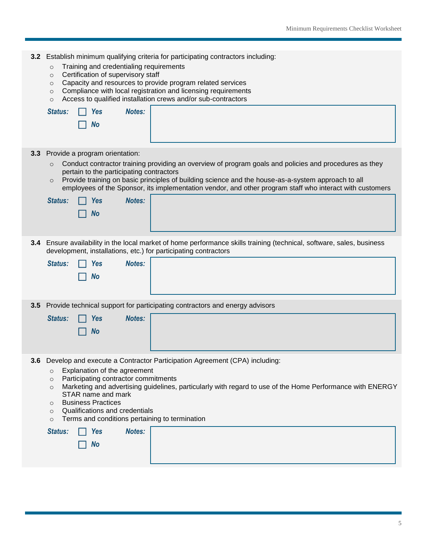| 3.2 | Establish minimum qualifying criteria for participating contractors including:<br>Training and credentialing requirements<br>$\circ$<br>Certification of supervisory staff<br>$\circ$<br>Capacity and resources to provide program related services<br>$\circ$<br>Compliance with local registration and licensing requirements<br>$\circ$<br>Access to qualified installation crews and/or sub-contractors<br>$\circ$<br><b>Notes:</b><br>Status:<br><b>Yes</b><br><b>No</b>                                                      |
|-----|------------------------------------------------------------------------------------------------------------------------------------------------------------------------------------------------------------------------------------------------------------------------------------------------------------------------------------------------------------------------------------------------------------------------------------------------------------------------------------------------------------------------------------|
| 3.3 | Provide a program orientation:<br>Conduct contractor training providing an overview of program goals and policies and procedures as they<br>$\circ$<br>pertain to the participating contractors<br>Provide training on basic principles of building science and the house-as-a-system approach to all<br>$\circ$<br>employees of the Sponsor, its implementation vendor, and other program staff who interact with customers<br>Notes:<br>Status:<br><b>Yes</b><br><b>No</b>                                                       |
|     | 3.4 Ensure availability in the local market of home performance skills training (technical, software, sales, business<br>development, installations, etc.) for participating contractors<br><b>Notes:</b><br>Status:<br><b>Yes</b><br><b>No</b>                                                                                                                                                                                                                                                                                    |
| 3.5 | Provide technical support for participating contractors and energy advisors<br><b>Notes:</b><br>Status:<br><b>Yes</b><br><b>No</b>                                                                                                                                                                                                                                                                                                                                                                                                 |
|     | 3.6 Develop and execute a Contractor Participation Agreement (CPA) including:<br>Explanation of the agreement<br>$\circ$<br>Participating contractor commitments<br>$\circ$<br>Marketing and advertising guidelines, particularly with regard to use of the Home Performance with ENERGY<br>$\circ$<br>STAR name and mark<br><b>Business Practices</b><br>$\circ$<br>Qualifications and credentials<br>$\circ$<br>Terms and conditions pertaining to termination<br>$\circ$<br><b>Notes:</b><br>Status:<br><b>Yes</b><br><b>No</b> |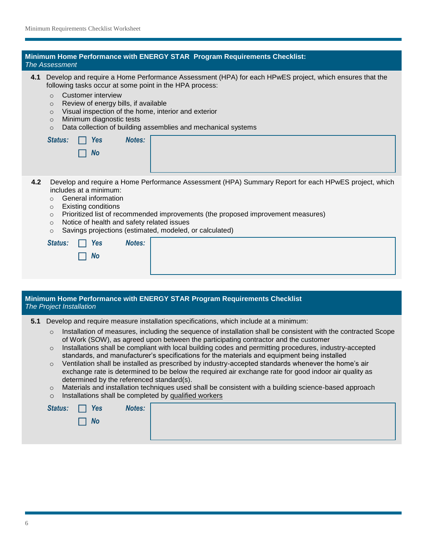| Minimum Home Performance with ENERGY STAR Program Requirements Checklist:<br><b>The Assessment</b>                                                                                                                                                                                                                                                                                                                                                                                                                                                                                                                                                                                                                                                                                                                                                                                                                                                                                                                                              |  |  |
|-------------------------------------------------------------------------------------------------------------------------------------------------------------------------------------------------------------------------------------------------------------------------------------------------------------------------------------------------------------------------------------------------------------------------------------------------------------------------------------------------------------------------------------------------------------------------------------------------------------------------------------------------------------------------------------------------------------------------------------------------------------------------------------------------------------------------------------------------------------------------------------------------------------------------------------------------------------------------------------------------------------------------------------------------|--|--|
| Develop and require a Home Performance Assessment (HPA) for each HPwES project, which ensures that the<br>4.1<br>following tasks occur at some point in the HPA process:<br><b>Customer interview</b><br>$\circ$<br>Review of energy bills, if available<br>$\circ$<br>Visual inspection of the home, interior and exterior<br>$\circ$<br>Minimum diagnostic tests<br>$\circ$<br>Data collection of building assemblies and mechanical systems<br>$\circ$<br>Status:<br>Notes:<br><b>Yes</b><br><b>No</b>                                                                                                                                                                                                                                                                                                                                                                                                                                                                                                                                       |  |  |
| 4.2<br>Develop and require a Home Performance Assessment (HPA) Summary Report for each HPwES project, which<br>includes at a minimum:<br>General information<br>$\circ$<br><b>Existing conditions</b><br>$\circ$<br>Prioritized list of recommended improvements (the proposed improvement measures)<br>$\circ$<br>Notice of health and safety related issues<br>$\circ$<br>Savings projections (estimated, modeled, or calculated)<br>$\circ$<br><b>Notes:</b><br>Status:<br><b>Yes</b><br><b>No</b>                                                                                                                                                                                                                                                                                                                                                                                                                                                                                                                                           |  |  |
| Minimum Home Performance with ENERGY STAR Program Requirements Checklist<br>The Project Installation                                                                                                                                                                                                                                                                                                                                                                                                                                                                                                                                                                                                                                                                                                                                                                                                                                                                                                                                            |  |  |
| Develop and require measure installation specifications, which include at a minimum:<br>5.1<br>Installation of measures, including the sequence of installation shall be consistent with the contracted Scope<br>$\circ$<br>of Work (SOW), as agreed upon between the participating contractor and the customer<br>Installations shall be compliant with local building codes and permitting procedures, industry-accepted<br>$\circ$<br>standards, and manufacturer's specifications for the materials and equipment being installed<br>Ventilation shall be installed as prescribed by industry-accepted standards whenever the home's air<br>$\circ$<br>exchange rate is determined to be below the required air exchange rate for good indoor air quality as<br>determined by the referenced standard(s).<br>Materials and installation techniques used shall be consistent with a building science-based approach<br>$\circ$<br>Installations shall be completed by qualified workers<br>$\circ$<br><b>Notes:</b><br>Status:<br><b>Yes</b> |  |  |
| <b>No</b>                                                                                                                                                                                                                                                                                                                                                                                                                                                                                                                                                                                                                                                                                                                                                                                                                                                                                                                                                                                                                                       |  |  |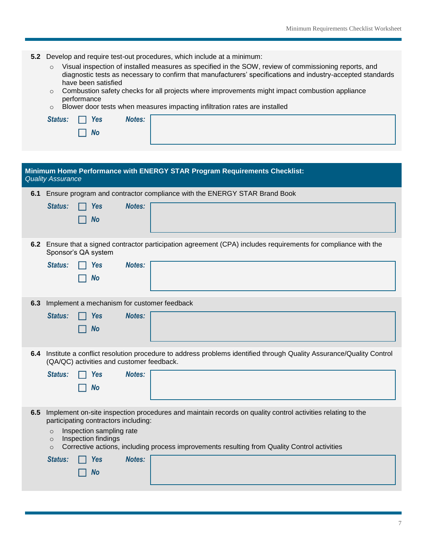|     | 5.2 Develop and require test-out procedures, which include at a minimum:<br>Visual inspection of installed measures as specified in the SOW, review of commissioning reports, and<br>$\circ$ |  |
|-----|----------------------------------------------------------------------------------------------------------------------------------------------------------------------------------------------|--|
|     | diagnostic tests as necessary to confirm that manufacturers' specifications and industry-accepted standards<br>have been satisfied                                                           |  |
|     | Combustion safety checks for all projects where improvements might impact combustion appliance<br>$\circ$                                                                                    |  |
|     | performance<br>Blower door tests when measures impacting infiltration rates are installed<br>$\circ$                                                                                         |  |
|     | <b>Notes:</b><br>Status:<br><b>Yes</b>                                                                                                                                                       |  |
|     | <b>No</b>                                                                                                                                                                                    |  |
|     |                                                                                                                                                                                              |  |
|     |                                                                                                                                                                                              |  |
|     | Minimum Home Performance with ENERGY STAR Program Requirements Checklist:<br><b>Quality Assurance</b>                                                                                        |  |
| 6.1 | Ensure program and contractor compliance with the ENERGY STAR Brand Book                                                                                                                     |  |
|     | <b>Notes:</b><br>Status:<br><b>Yes</b>                                                                                                                                                       |  |
|     | <b>No</b>                                                                                                                                                                                    |  |
|     |                                                                                                                                                                                              |  |
|     | 6.2 Ensure that a signed contractor participation agreement (CPA) includes requirements for compliance with the<br>Sponsor's QA system                                                       |  |
|     | Status:<br><b>Notes:</b><br><b>Yes</b>                                                                                                                                                       |  |
|     | <b>No</b>                                                                                                                                                                                    |  |
|     |                                                                                                                                                                                              |  |
| 6.3 | Implement a mechanism for customer feedback                                                                                                                                                  |  |
|     | Status:<br>Notes:<br><b>Yes</b>                                                                                                                                                              |  |
|     | <b>No</b>                                                                                                                                                                                    |  |
|     |                                                                                                                                                                                              |  |
|     | 6.4 Institute a conflict resolution procedure to address problems identified through Quality Assurance/Quality Control<br>(QA/QC) activities and customer feedback.                          |  |
|     | <b>Notes:</b><br>Status:<br><b>Yes</b>                                                                                                                                                       |  |
|     | <b>No</b>                                                                                                                                                                                    |  |
|     |                                                                                                                                                                                              |  |
| 6.5 | Implement on-site inspection procedures and maintain records on quality control activities relating to the                                                                                   |  |
|     | participating contractors including:                                                                                                                                                         |  |
|     | Inspection sampling rate<br>$\circ$<br>Inspection findings<br>$\circ$                                                                                                                        |  |
|     | Corrective actions, including process improvements resulting from Quality Control activities<br>$\circ$                                                                                      |  |
|     | Status:<br><b>Notes:</b><br><b>Yes</b>                                                                                                                                                       |  |
|     | <b>No</b>                                                                                                                                                                                    |  |
|     |                                                                                                                                                                                              |  |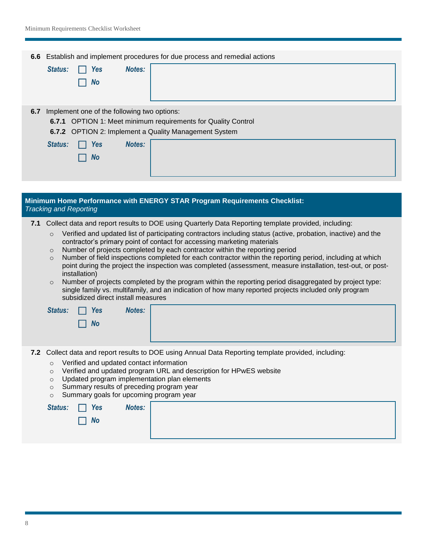|     | 6.6 Establish and implement procedures for due process and remedial actions<br><b>Notes:</b><br>Status:<br><b>Yes</b><br><b>No</b>                                                                                                                                                                                                                                                                                                                                                                                                                                                                                                                                                                                                                                                                                                                                                                                              |  |
|-----|---------------------------------------------------------------------------------------------------------------------------------------------------------------------------------------------------------------------------------------------------------------------------------------------------------------------------------------------------------------------------------------------------------------------------------------------------------------------------------------------------------------------------------------------------------------------------------------------------------------------------------------------------------------------------------------------------------------------------------------------------------------------------------------------------------------------------------------------------------------------------------------------------------------------------------|--|
|     | 6.7 Implement one of the following two options:<br>6.7.1 OPTION 1: Meet minimum requirements for Quality Control<br>6.7.2 OPTION 2: Implement a Quality Management System<br><b>Notes:</b><br><b>Status:</b><br><b>Yes</b><br><b>No</b>                                                                                                                                                                                                                                                                                                                                                                                                                                                                                                                                                                                                                                                                                         |  |
|     |                                                                                                                                                                                                                                                                                                                                                                                                                                                                                                                                                                                                                                                                                                                                                                                                                                                                                                                                 |  |
|     | Minimum Home Performance with ENERGY STAR Program Requirements Checklist:<br><b>Tracking and Reporting</b>                                                                                                                                                                                                                                                                                                                                                                                                                                                                                                                                                                                                                                                                                                                                                                                                                      |  |
| 7.1 | Collect data and report results to DOE using Quarterly Data Reporting template provided, including:<br>Verified and updated list of participating contractors including status (active, probation, inactive) and the<br>$\circ$<br>contractor's primary point of contact for accessing marketing materials<br>Number of projects completed by each contractor within the reporting period<br>$\circ$<br>Number of field inspections completed for each contractor within the reporting period, including at which<br>$\circ$<br>point during the project the inspection was completed (assessment, measure installation, test-out, or post-<br>installation)<br>Number of projects completed by the program within the reporting period disaggregated by project type:<br>$\circ$<br>single family vs. multifamily, and an indication of how many reported projects included only program<br>subsidized direct install measures |  |
|     | Notes:<br>Status:<br><b>Yes</b><br><b>No</b>                                                                                                                                                                                                                                                                                                                                                                                                                                                                                                                                                                                                                                                                                                                                                                                                                                                                                    |  |
|     | 7.2 Collect data and report results to DOE using Annual Data Reporting template provided, including:<br>Verified and updated contact information<br>$\circ$<br>Verified and updated program URL and description for HPwES website<br>$\circ$<br>Updated program implementation plan elements<br>$\circ$<br>Summary results of preceding program year<br>$\circ$<br>Summary goals for upcoming program year<br>$\circ$<br>Notes:<br>Status:<br><b>Yes</b>                                                                                                                                                                                                                                                                                                                                                                                                                                                                        |  |
|     | <b>No</b>                                                                                                                                                                                                                                                                                                                                                                                                                                                                                                                                                                                                                                                                                                                                                                                                                                                                                                                       |  |